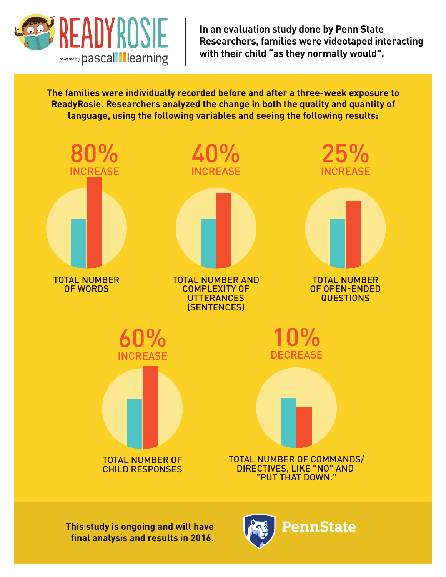

**In an evaluation study done by Penn State Researchers, families were videotaped interacting with their child "as they normally would".**

**The families were individually recorded before and after a three-week exposure to ReadyRosie. Researchers analyzed the change in both the quality and quantity of language, using the following variables and seeing the following results:**

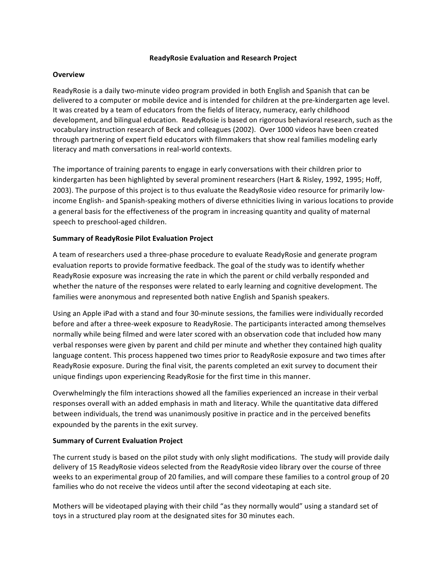## **ReadyRosie Evaluation and Research Project**

## **Overview**

ReadyRosie is a daily two-minute video program provided in both English and Spanish that can be delivered to a computer or mobile device and is intended for children at the pre-kindergarten age level. It was created by a team of educators from the fields of literacy, numeracy, early childhood development, and bilingual education. ReadyRosie is based on rigorous behavioral research, such as the vocabulary instruction research of Beck and colleagues (2002). Over 1000 videos have been created through partnering of expert field educators with filmmakers that show real families modeling early literacy and math conversations in real-world contexts.

The importance of training parents to engage in early conversations with their children prior to kindergarten has been highlighted by several prominent researchers (Hart & Risley, 1992, 1995; Hoff, 2003). The purpose of this project is to thus evaluate the ReadyRosie video resource for primarily lowincome English- and Spanish-speaking mothers of diverse ethnicities living in various locations to provide a general basis for the effectiveness of the program in increasing quantity and quality of maternal speech to preschool-aged children.

## **Summary of ReadyRosie Pilot Evaluation Project**

A team of researchers used a three-phase procedure to evaluate ReadyRosie and generate program evaluation reports to provide formative feedback. The goal of the study was to identify whether ReadyRosie exposure was increasing the rate in which the parent or child verbally responded and whether the nature of the responses were related to early learning and cognitive development. The families were anonymous and represented both native English and Spanish speakers.

Using an Apple iPad with a stand and four 30-minute sessions, the families were individually recorded before and after a three-week exposure to ReadyRosie. The participants interacted among themselves normally while being filmed and were later scored with an observation code that included how many verbal responses were given by parent and child per minute and whether they contained high quality language content. This process happened two times prior to ReadyRosie exposure and two times after ReadyRosie exposure. During the final visit, the parents completed an exit survey to document their unique findings upon experiencing ReadyRosie for the first time in this manner.

Overwhelmingly the film interactions showed all the families experienced an increase in their verbal responses overall with an added emphasis in math and literacy. While the quantitative data differed between individuals, the trend was unanimously positive in practice and in the perceived benefits expounded by the parents in the exit survey.

## **Summary of Current Evaluation Project**

The current study is based on the pilot study with only slight modifications. The study will provide daily delivery of 15 ReadyRosie videos selected from the ReadyRosie video library over the course of three weeks to an experimental group of 20 families, and will compare these families to a control group of 20 families who do not receive the videos until after the second videotaping at each site.

Mothers will be videotaped playing with their child "as they normally would" using a standard set of toys in a structured play room at the designated sites for 30 minutes each.